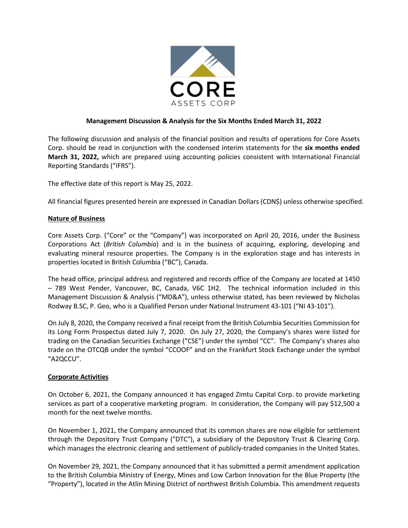

# **Management Discussion & Analysis for the Six Months Ended March 31, 2022**

The following discussion and analysis of the financial position and results of operations for Core Assets Corp. should be read in conjunction with the condensed interim statements for the **six months ended March 31, 2022,** which are prepared using accounting policies consistent with International Financial Reporting Standards ("IFRS").

The effective date of this report is May 25, 2022.

All financial figures presented herein are expressed in Canadian Dollars (CDN\$) unless otherwise specified.

## **Nature of Business**

Core Assets Corp. ("Core" or the "Company") was incorporated on April 20, 2016, under the Business Corporations Act (*British Columbia*) and is in the business of acquiring, exploring, developing and evaluating mineral resource properties. The Company is in the exploration stage and has interests in properties located in British Columbia ("BC"), Canada.

The head office, principal address and registered and records office of the Company are located at 1450 – 789 West Pender, Vancouver, BC, Canada, V6C 1H2. The technical information included in this Management Discussion & Analysis ("MD&A"), unless otherwise stated, has been reviewed by Nicholas Rodway B.SC, P. Geo, who is a Qualified Person under National Instrument 43-101 ("NI 43-101").

On July 8, 2020, the Company received a final receipt from the British Columbia Securities Commission for its Long Form Prospectus dated July 7, 2020. On July 27, 2020, the Company's shares were listed for trading on the Canadian Securities Exchange ("CSE") under the symbol "CC". The Company's shares also trade on the OTCQB under the symbol "CCOOF" and on the Frankfurt Stock Exchange under the symbol "A2QCCU".

## **Corporate Activities**

On October 6, 2021, the Company announced it has engaged Zimtu Capital Corp. to provide marketing services as part of a cooperative marketing program. In consideration, the Company will pay \$12,500 a month for the next twelve months.

On November 1, 2021, the Company announced that its common shares are now eligible for settlement through the Depository Trust Company ("DTC"), a subsidiary of the Depository Trust & Clearing Corp. which manages the electronic clearing and settlement of publicly-traded companies in the United States.

On November 29, 2021, the Company announced that it has submitted a permit amendment application to the British Columbia Ministry of Energy, Mines and Low Carbon Innovation for the Blue Property (the "Property"), located in the Atlin Mining District of northwest British Columbia. This amendment requests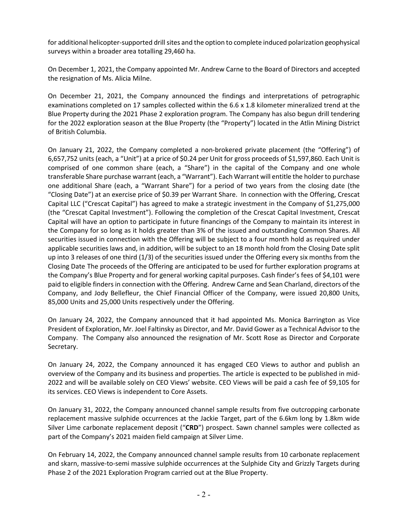for additional helicopter-supported drill sites and the option to complete induced polarization geophysical surveys within a broader area totalling 29,460 ha.

On December 1, 2021, the Company appointed Mr. Andrew Carne to the Board of Directors and accepted the resignation of Ms. Alicia Milne.

On December 21, 2021, the Company announced the findings and interpretations of petrographic examinations completed on 17 samples collected within the 6.6 x 1.8 kilometer mineralized trend at the Blue Property during the 2021 Phase 2 exploration program. The Company has also begun drill tendering for the 2022 exploration season at the Blue Property (the "Property") located in the Atlin Mining District of British Columbia.

On January 21, 2022, the Company completed a non-brokered private placement (the "Offering") of 6,657,752 units (each, a "Unit") at a price of \$0.24 per Unit for gross proceeds of \$1,597,860. Each Unit is comprised of one common share (each, a "Share") in the capital of the Company and one whole transferable Share purchase warrant (each, a "Warrant"). Each Warrant will entitle the holder to purchase one additional Share (each, a "Warrant Share") for a period of two years from the closing date (the "Closing Date") at an exercise price of \$0.39 per Warrant Share. In connection with the Offering, Crescat Capital LLC ("Crescat Capital") has agreed to make a strategic investment in the Company of \$1,275,000 (the "Crescat Capital Investment"). Following the completion of the Crescat Capital Investment, Crescat Capital will have an option to participate in future financings of the Company to maintain its interest in the Company for so long as it holds greater than 3% of the issued and outstanding Common Shares. All securities issued in connection with the Offering will be subject to a four month hold as required under applicable securities laws and, in addition, will be subject to an 18 month hold from the Closing Date split up into 3 releases of one third (1/3) of the securities issued under the Offering every six months from the Closing Date The proceeds of the Offering are anticipated to be used for further exploration programs at the Company's Blue Property and for general working capital purposes. Cash finder's fees of \$4,101 were paid to eligible finders in connection with the Offering. Andrew Carne and Sean Charland, directors of the Company, and Jody Bellefleur, the Chief Financial Officer of the Company, were issued 20,800 Units, 85,000 Units and 25,000 Units respectively under the Offering.

On January 24, 2022, the Company announced that it had appointed Ms. Monica Barrington as Vice President of Exploration, Mr. Joel Faltinsky as Director, and Mr. David Gower as a Technical Advisor to the Company. The Company also announced the resignation of Mr. Scott Rose as Director and Corporate Secretary.

On January 24, 2022, the Company announced it has engaged CEO Views to author and publish an overview of the Company and its business and properties. The article is expected to be published in mid-2022 and will be available solely on CEO Views' website. CEO Views will be paid a cash fee of \$9,105 for its services. CEO Views is independent to Core Assets.

On January 31, 2022, the Company announced channel sample results from five outcropping carbonate replacement massive sulphide occurrences at the Jackie Target, part of the 6.6km long by 1.8km wide Silver Lime carbonate replacement deposit ("**CRD**") prospect. Sawn channel samples were collected as part of the Company's 2021 maiden field campaign at Silver Lime.

On February 14, 2022, the Company announced channel sample results from 10 carbonate replacement and skarn, massive-to-semi massive sulphide occurrences at the Sulphide City and Grizzly Targets during Phase 2 of the 2021 Exploration Program carried out at the Blue Property.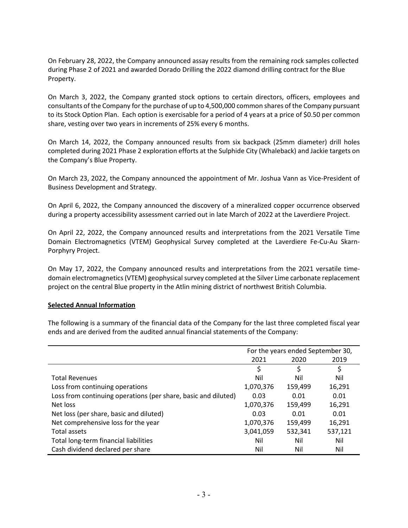On February 28, 2022, the Company announced assay results from the remaining rock samples collected during Phase 2 of 2021 and awarded Dorado Drilling the 2022 diamond drilling contract for the Blue Property.

On March 3, 2022, the Company granted stock options to certain directors, officers, employees and consultants of the Company for the purchase of up to 4,500,000 common shares of the Company pursuant to its Stock Option Plan. Each option is exercisable for a period of 4 years at a price of \$0.50 per common share, vesting over two years in increments of 25% every 6 months.

On March 14, 2022, the Company announced results from six backpack (25mm diameter) drill holes completed during 2021 Phase 2 exploration efforts at the Sulphide City (Whaleback) and Jackie targets on the Company's Blue Property.

On March 23, 2022, the Company announced the appointment of Mr. Joshua Vann as Vice-President of Business Development and Strategy.

On April 6, 2022, the Company announced the discovery of a mineralized copper occurrence observed during a property accessibility assessment carried out in late March of 2022 at the Laverdiere Project.

On April 22, 2022, the Company announced results and interpretations from the 2021 Versatile Time Domain Electromagnetics (VTEM) Geophysical Survey completed at the Laverdiere Fe-Cu-Au Skarn-Porphyry Project.

On May 17, 2022, the Company announced results and interpretations from the 2021 versatile timedomain electromagnetics (VTEM) geophysical survey completed at the Silver Lime carbonate replacement project on the central Blue property in the Atlin mining district of northwest British Columbia.

## **Selected Annual Information**

The following is a summary of the financial data of the Company for the last three completed fiscal year ends and are derived from the audited annual financial statements of the Company:

|                                                                | For the years ended September 30, |         |         |
|----------------------------------------------------------------|-----------------------------------|---------|---------|
|                                                                | 2021                              | 2020    | 2019    |
|                                                                | \$                                | \$      | \$      |
| <b>Total Revenues</b>                                          | Nil                               | Nil     | Nil     |
| Loss from continuing operations                                | 1,070,376                         | 159,499 | 16,291  |
| Loss from continuing operations (per share, basic and diluted) | 0.03                              | 0.01    | 0.01    |
| Net loss                                                       | 1,070,376                         | 159,499 | 16,291  |
| Net loss (per share, basic and diluted)                        | 0.03                              | 0.01    | 0.01    |
| Net comprehensive loss for the year                            | 1,070,376                         | 159,499 | 16,291  |
| Total assets                                                   | 3,041,059                         | 532,341 | 537,121 |
| Total long-term financial liabilities                          | Nil                               | Nil     | Nil     |
| Cash dividend declared per share                               | Nil                               | Nil     | Nil     |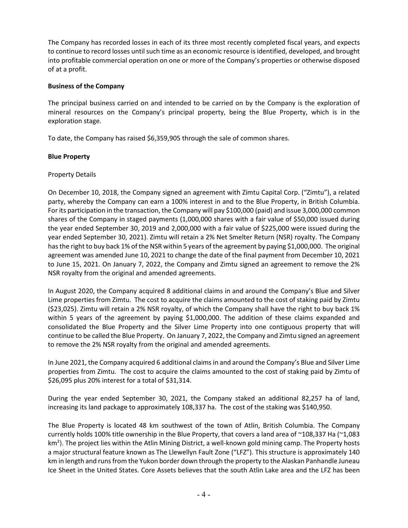The Company has recorded losses in each of its three most recently completed fiscal years, and expects to continue to record losses until such time as an economic resource is identified, developed, and brought into profitable commercial operation on one or more of the Company's properties or otherwise disposed of at a profit.

# **Business of the Company**

The principal business carried on and intended to be carried on by the Company is the exploration of mineral resources on the Company's principal property, being the Blue Property, which is in the exploration stage.

To date, the Company has raised \$6,359,905 through the sale of common shares.

## **Blue Property**

# Property Details

On December 10, 2018, the Company signed an agreement with Zimtu Capital Corp. ("Zimtu"), a related party, whereby the Company can earn a 100% interest in and to the Blue Property, in British Columbia. For its participation in the transaction, the Company will pay \$100,000 (paid) and issue 3,000,000 common shares of the Company in staged payments (1,000,000 shares with a fair value of \$50,000 issued during the year ended September 30, 2019 and 2,000,000 with a fair value of \$225,000 were issued during the year ended September 30, 2021). Zimtu will retain a 2% Net Smelter Return (NSR) royalty. The Company has the right to buy back 1% of the NSR within 5 years of the agreement by paying \$1,000,000. The original agreement was amended June 10, 2021 to change the date of the final payment from December 10, 2021 to June 15, 2021. On January 7, 2022, the Company and Zimtu signed an agreement to remove the 2% NSR royalty from the original and amended agreements.

In August 2020, the Company acquired 8 additional claims in and around the Company's Blue and Silver Lime properties from Zimtu. The cost to acquire the claims amounted to the cost of staking paid by Zimtu (\$23,025). Zimtu will retain a 2% NSR royalty, of which the Company shall have the right to buy back 1% within 5 years of the agreement by paying \$1,000,000. The addition of these claims expanded and consolidated the Blue Property and the Silver Lime Property into one contiguous property that will continue to be called the Blue Property. On January 7, 2022, the Company and Zimtu signed an agreement to remove the 2% NSR royalty from the original and amended agreements.

In June 2021, the Company acquired 6 additional claims in and around the Company's Blue and Silver Lime properties from Zimtu. The cost to acquire the claims amounted to the cost of staking paid by Zimtu of \$26,095 plus 20% interest for a total of \$31,314.

During the year ended September 30, 2021, the Company staked an additional 82,257 ha of land, increasing its land package to approximately 108,337 ha. The cost of the staking was \$140,950.

The Blue Property is located 48 km southwest of the town of Atlin, British Columbia. The Company currently holds 100% title ownership in the Blue Property, that covers a land area of ~108,337 Ha (~1,083 km<sup>2</sup>). The project lies within the Atlin Mining District, a well-known gold mining camp. The Property hosts a major structural feature known as The Llewellyn Fault Zone ("LFZ"). This structure is approximately 140 km in length and runs from the Yukon border down through the property to the Alaskan Panhandle Juneau Ice Sheet in the United States. Core Assets believes that the south Atlin Lake area and the LFZ has been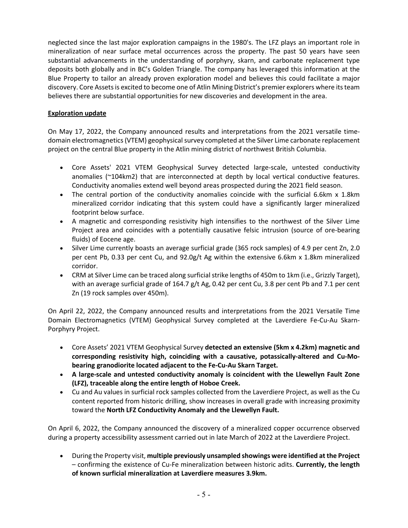neglected since the last major exploration campaigns in the 1980's. The LFZ plays an important role in mineralization of near surface metal occurrences across the property. The past 50 years have seen substantial advancements in the understanding of porphyry, skarn, and carbonate replacement type deposits both globally and in BC's Golden Triangle. The company has leveraged this information at the Blue Property to tailor an already proven exploration model and believes this could facilitate a major discovery. Core Assets is excited to become one of Atlin Mining District's premier explorers where its team believes there are substantial opportunities for new discoveries and development in the area.

# **Exploration update**

On May 17, 2022, the Company announced results and interpretations from the 2021 versatile timedomain electromagnetics (VTEM) geophysical survey completed at the Silver Lime carbonate replacement project on the central Blue property in the Atlin mining district of northwest British Columbia.

- Core Assets' 2021 VTEM Geophysical Survey detected large-scale, untested conductivity anomalies (~104km2) that are interconnected at depth by local vertical conductive features. Conductivity anomalies extend well beyond areas prospected during the 2021 field season.
- The central portion of the conductivity anomalies coincide with the surficial 6.6km x 1.8km mineralized corridor indicating that this system could have a significantly larger mineralized footprint below surface.
- A magnetic and corresponding resistivity high intensifies to the northwest of the Silver Lime Project area and coincides with a potentially causative felsic intrusion (source of ore-bearing fluids) of Eocene age.
- Silver Lime currently boasts an average surficial grade (365 rock samples) of 4.9 per cent Zn, 2.0 per cent Pb, 0.33 per cent Cu, and 92.0g/t Ag within the extensive 6.6km x 1.8km mineralized corridor.
- CRM at Silver Lime can be traced along surficial strike lengths of 450m to 1km (i.e., Grizzly Target), with an average surficial grade of 164.7 g/t Ag, 0.42 per cent Cu, 3.8 per cent Pb and 7.1 per cent Zn (19 rock samples over 450m).

On April 22, 2022, the Company announced results and interpretations from the 2021 Versatile Time Domain Electromagnetics (VTEM) Geophysical Survey completed at the Laverdiere Fe-Cu-Au Skarn-Porphyry Project.

- Core Assets' 2021 VTEM Geophysical Survey **detected an extensive (5km x 4.2km) magnetic and corresponding resistivity high, coinciding with a causative, potassically-altered and Cu-Mobearing granodiorite located adjacent to the Fe-Cu-Au Skarn Target.**
- **A large-scale and untested conductivity anomaly is coincident with the Llewellyn Fault Zone (LFZ), traceable along the entire length of Hoboe Creek.**
- Cu and Au values in surficial rock samples collected from the Laverdiere Project, as well as the Cu content reported from historic drilling, show increases in overall grade with increasing proximity toward the **North LFZ Conductivity Anomaly and the Llewellyn Fault.**

On April 6, 2022, the Company announced the discovery of a mineralized copper occurrence observed during a property accessibility assessment carried out in late March of 2022 at the Laverdiere Project.

• During the Property visit, **multiple previously unsampled showings were identified at the Project**  – confirming the existence of Cu-Fe mineralization between historic adits. **Currently, the length of known surficial mineralization at Laverdiere measures 3.9km.**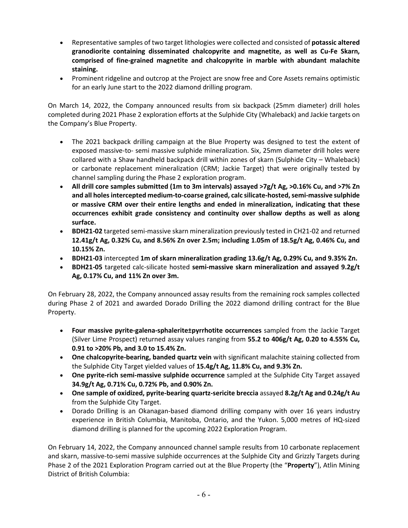- Representative samples of two target lithologies were collected and consisted of **potassic altered granodiorite containing disseminated chalcopyrite and magnetite, as well as Cu-Fe Skarn, comprised of fine-grained magnetite and chalcopyrite in marble with abundant malachite staining.**
- Prominent ridgeline and outcrop at the Project are snow free and Core Assets remains optimistic for an early June start to the 2022 diamond drilling program.

On March 14, 2022, the Company announced results from six backpack (25mm diameter) drill holes completed during 2021 Phase 2 exploration efforts at the Sulphide City (Whaleback) and Jackie targets on the Company's Blue Property.

- The 2021 backpack drilling campaign at the Blue Property was designed to test the extent of exposed massive-to- semi massive sulphide mineralization. Six, 25mm diameter drill holes were collared with a Shaw handheld backpack drill within zones of skarn (Sulphide City – Whaleback) or carbonate replacement mineralization (CRM; Jackie Target) that were originally tested by channel sampling during the Phase 2 exploration program.
- **All drill core samples submitted (1m to 3m intervals) assayed >7g/t Ag, >0.16% Cu, and >7% Zn and all holes intercepted medium-to-coarse grained, calc silicate-hosted, semi-massive sulphide or massive CRM over their entire lengths and ended in mineralization, indicating that these occurrences exhibit grade consistency and continuity over shallow depths as well as along surface.**
- **BDH21-02** targeted semi-massive skarn mineralization previously tested in CH21-02 and returned **12.41g/t Ag, 0.32% Cu, and 8.56% Zn over 2.5m; including 1.05m of 18.5g/t Ag, 0.46% Cu, and 10.15% Zn.**
- **BDH21-03** intercepted **1m of skarn mineralization grading 13.6g/t Ag, 0.29% Cu, and 9.35% Zn.**
- **BDH21-05** targeted calc-silicate hosted **semi-massive skarn mineralization and assayed 9.2g/t Ag, 0.17% Cu, and 11% Zn over 3m.**

On February 28, 2022, the Company announced assay results from the remaining rock samples collected during Phase 2 of 2021 and awarded Dorado Drilling the 2022 diamond drilling contract for the Blue Property.

- **Four massive pyrite-galena-sphalerite±pyrrhotite occurrences** sampled from the Jackie Target (Silver Lime Prospect) returned assay values ranging from **55.2 to 406g/t Ag, 0.20 to 4.55% Cu, 0.91 to >20% Pb, and 3.0 to 15.4% Zn.**
- **One chalcopyrite-bearing, banded quartz vein** with significant malachite staining collected from the Sulphide City Target yielded values of **15.4g/t Ag, 11.8% Cu, and 9.3% Zn.**
- **One pyrite-rich semi-massive sulphide occurrence** sampled at the Sulphide City Target assayed **34.9g/t Ag, 0.71% Cu, 0.72% Pb, and 0.90% Zn.**
- **One sample of oxidized, pyrite-bearing quartz-sericite breccia** assayed **8.2g/t Ag and 0.24g/t Au**  from the Sulphide City Target.
- Dorado Drilling is an Okanagan-based diamond drilling company with over 16 years industry experience in British Columbia, Manitoba, Ontario, and the Yukon. 5,000 metres of HQ-sized diamond drilling is planned for the upcoming 2022 Exploration Program.

On February 14, 2022, the Company announced channel sample results from 10 carbonate replacement and skarn, massive-to-semi massive sulphide occurrences at the Sulphide City and Grizzly Targets during Phase 2 of the 2021 Exploration Program carried out at the Blue Property (the "**Property**"), Atlin Mining District of British Columbia: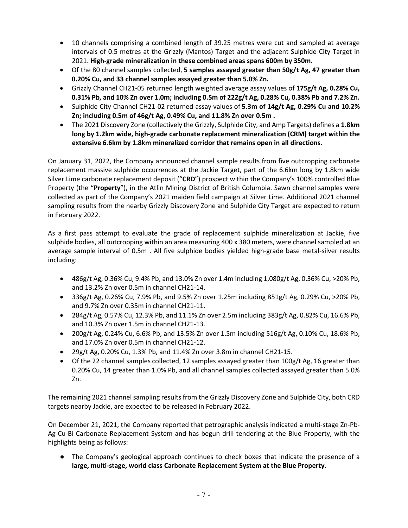- 10 channels comprising a combined length of 39.25 metres were cut and sampled at average intervals of 0.5 metres at the Grizzly (Mantos) Target and the adjacent Sulphide City Target in 2021. **High-grade mineralization in these combined areas spans 600m by 350m.**
- Of the 80 channel samples collected, **5 samples assayed greater than 50g/t Ag, 47 greater than 0.20% Cu, and 33 channel samples assayed greater than 5.0% Zn.**
- Grizzly Channel CH21-05 returned length weighted average assay values of **175g/t Ag, 0.28% Cu, 0.31% Pb, and 10% Zn over 1.0m; including 0.5m of 222g/t Ag, 0.28% Cu, 0.38% Pb and 7.2% Zn.**
- Sulphide City Channel CH21-02 returned assay values of **5.3m of 14g/t Ag, 0.29% Cu and 10.2% Zn; including 0.5m of 46g/t Ag, 0.49% Cu, and 11.8% Zn over 0.5m .**
- The 2021 Discovery Zone (collectively the Grizzly, Sulphide City, and Amp Targets) defines a **1.8km long by 1.2km wide, high-grade carbonate replacement mineralization (CRM) target within the extensive 6.6km by 1.8km mineralized corridor that remains open in all directions.**

On January 31, 2022, the Company announced channel sample results from five outcropping carbonate replacement massive sulphide occurrences at the Jackie Target, part of the 6.6km long by 1.8km wide Silver Lime carbonate replacement deposit ("**CRD**") prospect within the Company's 100% controlled Blue Property (the "**Property**"), in the Atlin Mining District of British Columbia. Sawn channel samples were collected as part of the Company's 2021 maiden field campaign at Silver Lime. Additional 2021 channel sampling results from the nearby Grizzly Discovery Zone and Sulphide City Target are expected to return in February 2022.

As a first pass attempt to evaluate the grade of replacement sulphide mineralization at Jackie, five sulphide bodies, all outcropping within an area measuring 400 x 380 meters, were channel sampled at an average sample interval of 0.5m . All five sulphide bodies yielded high-grade base metal-silver results including:

- 486g/t Ag, 0.36% Cu, 9.4% Pb, and 13.0% Zn over 1.4m including 1,080g/t Ag, 0.36% Cu, >20% Pb, and 13.2% Zn over 0.5m in channel CH21-14.
- 336g/t Ag, 0.26% Cu, 7.9% Pb, and 9.5% Zn over 1.25m including 851g/t Ag, 0.29% Cu, >20% Pb, and 9.7% Zn over 0.35m in channel CH21-11.
- 284g/t Ag, 0.57% Cu, 12.3% Pb, and 11.1% Zn over 2.5m including 383g/t Ag, 0.82% Cu, 16.6% Pb, and 10.3% Zn over 1.5m in channel CH21-13.
- 200g/t Ag, 0.24% Cu, 6.6% Pb, and 13.5% Zn over 1.5m including 516g/t Ag, 0.10% Cu, 18.6% Pb, and 17.0% Zn over 0.5m in channel CH21-12.
- 29g/t Ag, 0.20% Cu, 1.3% Pb, and 11.4% Zn over 3.8m in channel CH21-15.
- Of the 22 channel samples collected, 12 samples assayed greater than 100g/t Ag, 16 greater than 0.20% Cu, 14 greater than 1.0% Pb, and all channel samples collected assayed greater than 5.0% Zn.

The remaining 2021 channel sampling results from the Grizzly Discovery Zone and Sulphide City, both CRD targets nearby Jackie, are expected to be released in February 2022.

On December 21, 2021, the Company reported that petrographic analysis indicated a multi-stage Zn-Pb-Ag-Cu-Bi Carbonate Replacement System and has begun drill tendering at the Blue Property, with the highlights being as follows:

● The Company's geological approach continues to check boxes that indicate the presence of a **large, multi-stage, world class Carbonate Replacement System at the Blue Property.**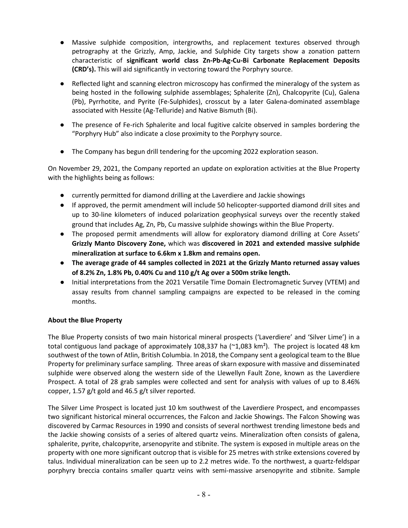- Massive sulphide composition, intergrowths, and replacement textures observed through petrography at the Grizzly, Amp, Jackie, and Sulphide City targets show a zonation pattern characteristic of **significant world class Zn-Pb-Ag-Cu-Bi Carbonate Replacement Deposits (CRD's).** This will aid significantly in vectoring toward the Porphyry source.
- Reflected light and scanning electron microscopy has confirmed the mineralogy of the system as being hosted in the following sulphide assemblages; Sphalerite (Zn), Chalcopyrite (Cu), Galena (Pb), Pyrrhotite, and Pyrite (Fe-Sulphides), crosscut by a later Galena-dominated assemblage associated with Hessite (Ag-Telluride) and Native Bismuth (Bi).
- The presence of Fe-rich Sphalerite and local fugitive calcite observed in samples bordering the "Porphyry Hub" also indicate a close proximity to the Porphyry source.
- The Company has begun drill tendering for the upcoming 2022 exploration season.

On November 29, 2021, the Company reported an update on exploration activities at the Blue Property with the highlights being as follows:

- currently permitted for diamond drilling at the Laverdiere and Jackie showings
- If approved, the permit amendment will include 50 helicopter-supported diamond drill sites and up to 30-line kilometers of induced polarization geophysical surveys over the recently staked ground that includes Ag, Zn, Pb, Cu massive sulphide showings within the Blue Property.
- The proposed permit amendments will allow for exploratory diamond drilling at Core Assets' **Grizzly Manto Discovery Zone,** which was **discovered in 2021 and extended massive sulphide mineralization at surface to 6.6km x 1.8km and remains open.**
- **The average grade of 44 samples collected in 2021 at the Grizzly Manto returned assay values of 8.2% Zn, 1.8% Pb, 0.40% Cu and 110 g/t Ag over a 500m strike length.**
- Initial interpretations from the 2021 Versatile Time Domain Electromagnetic Survey (VTEM) and assay results from channel sampling campaigns are expected to be released in the coming months.

# **About the Blue Property**

The Blue Property consists of two main historical mineral prospects ('Laverdiere' and 'Silver Lime') in a total contiguous land package of approximately 108,337 ha (~1,083 km²).The project is located 48 km southwest of the town of Atlin, British Columbia. In 2018, the Company sent a geological team to the Blue Property for preliminary surface sampling. Three areas of skarn exposure with massive and disseminated sulphide were observed along the western side of the Llewellyn Fault Zone, known as the Laverdiere Prospect. A total of 28 grab samples were collected and sent for analysis with values of up to 8.46% copper, 1.57 g/t gold and 46.5 g/t silver reported.

The Silver Lime Prospect is located just 10 km southwest of the Laverdiere Prospect, and encompasses two significant historical mineral occurrences, the Falcon and Jackie Showings. The Falcon Showing was discovered by Carmac Resources in 1990 and consists of several northwest trending limestone beds and the Jackie showing consists of a series of altered quartz veins. Mineralization often consists of galena, sphalerite, pyrite, chalcopyrite, arsenopyrite and stibnite. The system is exposed in multiple areas on the property with one more significant outcrop that is visible for 25 metres with strike extensions covered by talus. Individual mineralization can be seen up to 2.2 metres wide. To the northwest, a quartz-feldspar porphyry breccia contains smaller quartz veins with semi-massive arsenopyrite and stibnite. Sample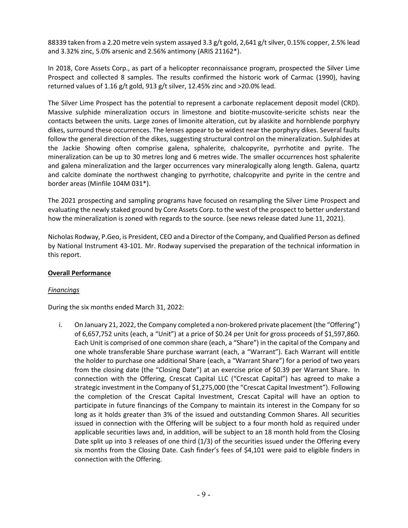88339 taken from a 2.20 metre vein system assayed 3.3 g/t gold, 2,641 g/t silver, 0.15% copper, 2.5% lead and 3.32% zinc, 5.0% arsenic and 2.56% antimony (ARIS 21162\*).

In 2018, Core Assets Corp., as part of a helicopter reconnaissance program, prospected the Silver Lime Prospect and collected 8 samples. The results confirmed the historic work of Carmac (1990), having returned values of 1.16 g/t gold, 913 g/t silver, 12.45% zinc and >20.0% lead.

The Silver Lime Prospect has the potential to represent a carbonate replacement deposit model (CRD). Massive sulphide mineralization occurs in limestone and biotite-muscovite-sericite schists near the contacts between the units. Large zones of limonite alteration, cut by alaskite and hornblende porphyry dikes, surround these occurrences. The lenses appear to be widest near the porphyry dikes. Several faults follow the general direction of the dikes, suggesting structural control on the mineralization. Sulphides at the Jackie Showing often comprise galena, sphalerite, chalcopyrite, pyrrhotite and pyrite. The mineralization can be up to 30 metres long and 6 metres wide. The smaller occurrences host sphalerite and galena mineralization and the larger occurrences vary mineralogically along length. Galena, quartz and calcite dominate the northwest changing to pyrrhotite, chalcopyrite and pyrite in the centre and border areas (Minfile 104M 031\*).

The 2021 prospecting and sampling programs have focused on resampling the Silver Lime Prospect and evaluating the newly staked ground by Core Assets Corp. to the west of the prospect to better understand how the mineralization is zoned with regards to the source. (see news release dated June 11, 2021).

Nicholas Rodway, P.Geo, is President, CEO and a Director of the Company, and Qualified Person as defined by National Instrument 43-101. Mr. Rodway supervised the preparation of the technical information in this report.

# **Overall Performance**

# *Financings*

During the six months ended March 31, 2022:

i. On January 21, 2022, the Company completed a non-brokered private placement (the "Offering") of 6,657,752 units (each, a "Unit") at a price of \$0.24 per Unit for gross proceeds of \$1,597,860. Each Unit is comprised of one common share (each, a "Share") in the capital of the Company and one whole transferable Share purchase warrant (each, a "Warrant"). Each Warrant will entitle the holder to purchase one additional Share (each, a "Warrant Share") for a period of two years from the closing date (the "Closing Date") at an exercise price of \$0.39 per Warrant Share. In connection with the Offering, Crescat Capital LLC ("Crescat Capital") has agreed to make a strategic investment in the Company of \$1,275,000 (the "Crescat Capital Investment"). Following the completion of the Crescat Capital Investment, Crescat Capital will have an option to participate in future financings of the Company to maintain its interest in the Company for so long as it holds greater than 3% of the issued and outstanding Common Shares. All securities issued in connection with the Offering will be subject to a four month hold as required under applicable securities laws and, in addition, will be subject to an 18 month hold from the Closing Date split up into 3 releases of one third (1/3) of the securities issued under the Offering every six months from the Closing Date. Cash finder's fees of \$4,101 were paid to eligible finders in connection with the Offering.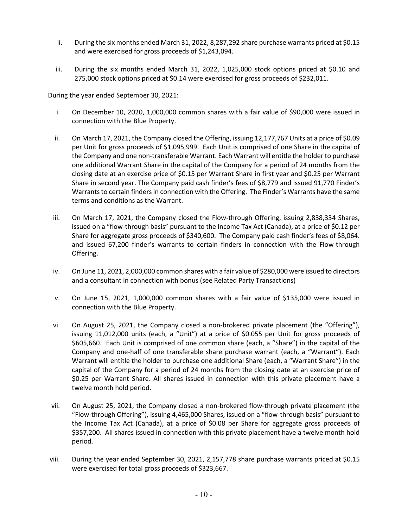- ii. During the six months ended March 31, 2022, 8,287,292 share purchase warrants priced at \$0.15 and were exercised for gross proceeds of \$1,243,094.
- iii. During the six months ended March 31, 2022, 1,025,000 stock options priced at \$0.10 and 275,000 stock options priced at \$0.14 were exercised for gross proceeds of \$232,011.

During the year ended September 30, 2021:

- i. On December 10, 2020, 1,000,000 common shares with a fair value of \$90,000 were issued in connection with the Blue Property.
- ii. On March 17, 2021, the Company closed the Offering, issuing 12,177,767 Units at a price of \$0.09 per Unit for gross proceeds of \$1,095,999. Each Unit is comprised of one Share in the capital of the Company and one non-transferable Warrant. Each Warrant will entitle the holder to purchase one additional Warrant Share in the capital of the Company for a period of 24 months from the closing date at an exercise price of \$0.15 per Warrant Share in first year and \$0.25 per Warrant Share in second year. The Company paid cash finder's fees of \$8,779 and issued 91,770 Finder's Warrants to certain finders in connection with the Offering. The Finder's Warrants have the same terms and conditions as the Warrant.
- iii. On March 17, 2021, the Company closed the Flow-through Offering, issuing 2,838,334 Shares, issued on a "flow-through basis" pursuant to the Income Tax Act (Canada), at a price of \$0.12 per Share for aggregate gross proceeds of \$340,600. The Company paid cash finder's fees of \$8,064. and issued 67,200 finder's warrants to certain finders in connection with the Flow-through Offering.
- iv. On June 11, 2021, 2,000,000 common shares with a fair value of \$280,000 were issued to directors and a consultant in connection with bonus (see Related Party Transactions)
- v. On June 15, 2021, 1,000,000 common shares with a fair value of \$135,000 were issued in connection with the Blue Property.
- vi. On August 25, 2021, the Company closed a non-brokered private placement (the "Offering"), issuing 11,012,000 units (each, a "Unit") at a price of \$0.055 per Unit for gross proceeds of \$605,660. Each Unit is comprised of one common share (each, a "Share") in the capital of the Company and one-half of one transferable share purchase warrant (each, a "Warrant"). Each Warrant will entitle the holder to purchase one additional Share (each, a "Warrant Share") in the capital of the Company for a period of 24 months from the closing date at an exercise price of \$0.25 per Warrant Share. All shares issued in connection with this private placement have a twelve month hold period.
- vii. On August 25, 2021, the Company closed a non-brokered flow-through private placement (the "Flow-through Offering"), issuing 4,465,000 Shares, issued on a "flow-through basis" pursuant to the Income Tax Act (Canada), at a price of \$0.08 per Share for aggregate gross proceeds of \$357,200. All shares issued in connection with this private placement have a twelve month hold period.
- viii. During the year ended September 30, 2021, 2,157,778 share purchase warrants priced at \$0.15 were exercised for total gross proceeds of \$323,667.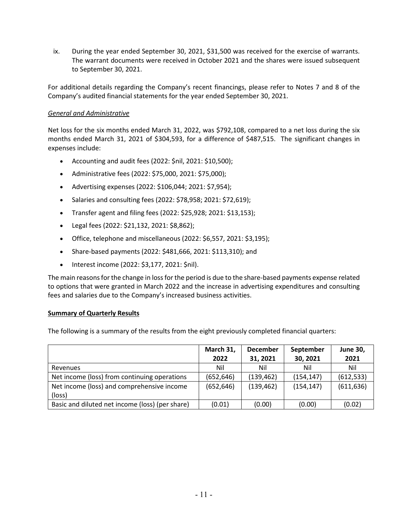ix. During the year ended September 30, 2021, \$31,500 was received for the exercise of warrants. The warrant documents were received in October 2021 and the shares were issued subsequent to September 30, 2021.

For additional details regarding the Company's recent financings, please refer to Notes 7 and 8 of the Company's audited financial statements for the year ended September 30, 2021.

# *General and Administrative*

Net loss for the six months ended March 31, 2022, was \$792,108, compared to a net loss during the six months ended March 31, 2021 of \$304,593, for a difference of \$487,515. The significant changes in expenses include:

- Accounting and audit fees (2022: \$nil, 2021: \$10,500);
- Administrative fees (2022: \$75,000, 2021: \$75,000);
- Advertising expenses (2022: \$106,044; 2021: \$7,954);
- Salaries and consulting fees (2022: \$78,958; 2021: \$72,619);
- Transfer agent and filing fees (2022: \$25,928; 2021: \$13,153);
- Legal fees (2022: \$21,132, 2021: \$8,862);
- Office, telephone and miscellaneous (2022: \$6,557, 2021: \$3,195);
- Share-based payments (2022: \$481,666, 2021: \$113,310); and
- Interest income (2022: \$3,177, 2021: \$nil).

The main reasons for the change in loss for the period is due to the share-based payments expense related to options that were granted in March 2022 and the increase in advertising expenditures and consulting fees and salaries due to the Company's increased business activities.

#### **Summary of Quarterly Results**

The following is a summary of the results from the eight previously completed financial quarters:

|                                                 | March 31,  | <b>December</b> | September  | <b>June 30,</b> |
|-------------------------------------------------|------------|-----------------|------------|-----------------|
|                                                 | 2022       | 31, 2021        | 30, 2021   | 2021            |
| Revenues                                        | Nil        | Nil             | Nil        | Nil             |
| Net income (loss) from continuing operations    | (652, 646) | (139, 462)      | (154, 147) | (612, 533)      |
| Net income (loss) and comprehensive income      | (652, 646) | (139, 462)      | (154, 147) | (611, 636)      |
| (loss)                                          |            |                 |            |                 |
| Basic and diluted net income (loss) (per share) | (0.01)     | (0.00)          | (0.00)     | (0.02)          |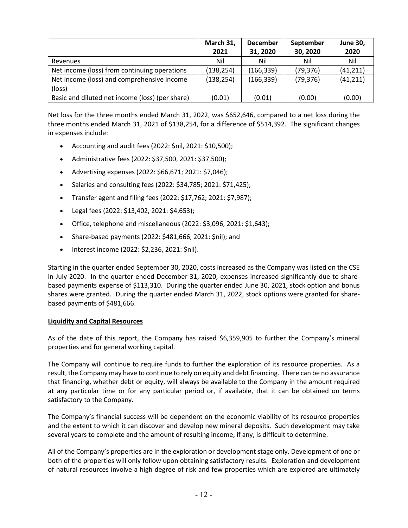|                                                 | March 31,  | <b>December</b> | September | <b>June 30,</b> |
|-------------------------------------------------|------------|-----------------|-----------|-----------------|
|                                                 | 2021       | 31, 2020        | 30, 2020  | 2020            |
| Revenues                                        | Nil        | Nil             | Nil       | Nil             |
| Net income (loss) from continuing operations    | (138, 254) | (166, 339)      | (79, 376) | (41, 211)       |
| Net income (loss) and comprehensive income      | (138, 254) | (166, 339)      | (79, 376) | (41, 211)       |
| (loss)                                          |            |                 |           |                 |
| Basic and diluted net income (loss) (per share) | (0.01)     | (0.01)          | (0.00)    | (0.00)          |

Net loss for the three months ended March 31, 2022, was \$652,646, compared to a net loss during the three months ended March 31, 2021 of \$138,254, for a difference of \$514,392. The significant changes in expenses include:

- Accounting and audit fees (2022: \$nil, 2021: \$10,500);
- Administrative fees (2022: \$37,500, 2021: \$37,500);
- Advertising expenses (2022: \$66,671; 2021: \$7,046);
- Salaries and consulting fees (2022: \$34,785; 2021: \$71,425);
- Transfer agent and filing fees (2022: \$17,762; 2021: \$7,987);
- Legal fees (2022: \$13,402, 2021: \$4,653);
- Office, telephone and miscellaneous (2022: \$3,096, 2021: \$1,643);
- Share-based payments (2022: \$481,666, 2021: \$nil); and
- Interest income (2022: \$2,236, 2021: \$nil).

Starting in the quarter ended September 30, 2020, costs increased as the Company was listed on the CSE in July 2020. In the quarter ended December 31, 2020, expenses increased significantly due to sharebased payments expense of \$113,310. During the quarter ended June 30, 2021, stock option and bonus shares were granted. During the quarter ended March 31, 2022, stock options were granted for sharebased payments of \$481,666.

## **Liquidity and Capital Resources**

As of the date of this report, the Company has raised \$6,359,905 to further the Company's mineral properties and for general working capital.

The Company will continue to require funds to further the exploration of its resource properties. As a result, the Company may have to continue to rely on equity and debt financing. There can be no assurance that financing, whether debt or equity, will always be available to the Company in the amount required at any particular time or for any particular period or, if available, that it can be obtained on terms satisfactory to the Company.

The Company's financial success will be dependent on the economic viability of its resource properties and the extent to which it can discover and develop new mineral deposits. Such development may take several years to complete and the amount of resulting income, if any, is difficult to determine.

All of the Company's properties are in the exploration or development stage only. Development of one or both of the properties will only follow upon obtaining satisfactory results. Exploration and development of natural resources involve a high degree of risk and few properties which are explored are ultimately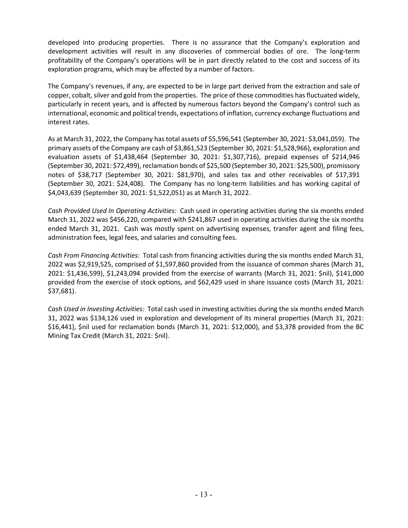developed into producing properties. There is no assurance that the Company's exploration and development activities will result in any discoveries of commercial bodies of ore. The long-term profitability of the Company's operations will be in part directly related to the cost and success of its exploration programs, which may be affected by a number of factors.

The Company's revenues, if any, are expected to be in large part derived from the extraction and sale of copper, cobalt, silver and gold from the properties. The price of those commodities has fluctuated widely, particularly in recent years, and is affected by numerous factors beyond the Company's control such as international, economic and political trends, expectations of inflation, currency exchange fluctuations and interest rates.

As at March 31, 2022, the Company has total assets of \$5,596,541 (September 30, 2021: \$3,041,059). The primary assets of the Company are cash of \$3,861,523 (September 30, 2021: \$1,528,966), exploration and evaluation assets of \$1,438,464 (September 30, 2021: \$1,307,716), prepaid expenses of \$214,946 (September 30, 2021: \$72,499), reclamation bonds of \$25,500 (September 30, 2021: \$25,500), promissory notes of \$38,717 (September 30, 2021: \$81,970), and sales tax and other receivables of \$17,391 (September 30, 2021: \$24,408). The Company has no long-term liabilities and has working capital of \$4,043,639 (September 30, 2021: \$1,522,051) as at March 31, 2022.

*Cash Provided Used In Operating Activities:* Cash used in operating activities during the six months ended March 31, 2022 was \$456,220, compared with \$241,867 used in operating activities during the six months ended March 31, 2021. Cash was mostly spent on advertising expenses, transfer agent and filing fees, administration fees, legal fees, and salaries and consulting fees.

*Cash From Financing Activities:* Total cash from financing activities during the six months ended March 31, 2022 was \$2,919,525, comprised of \$1,597,860 provided from the issuance of common shares (March 31, 2021: \$1,436,599), \$1,243,094 provided from the exercise of warrants (March 31, 2021: \$nil), \$141,000 provided from the exercise of stock options, and \$62,429 used in share issuance costs (March 31, 2021: \$37,681).

*Cash Used in Investing Activities:* Total cash used in investing activities during the six months ended March 31, 2022 was \$134,126 used in exploration and development of its mineral properties (March 31, 2021: \$16,441), \$nil used for reclamation bonds (March 31, 2021: \$12,000), and \$3,378 provided from the BC Mining Tax Credit (March 31, 2021: \$nil).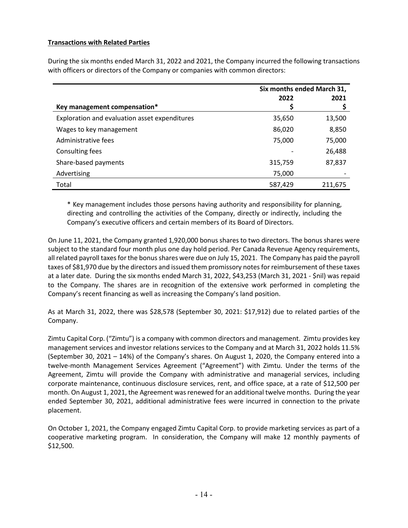# **Transactions with Related Parties**

During the six months ended March 31, 2022 and 2021, the Company incurred the following transactions with officers or directors of the Company or companies with common directors:

|                                               | Six months ended March 31, |         |
|-----------------------------------------------|----------------------------|---------|
|                                               | 2022                       | 2021    |
| Key management compensation*                  | Ş                          |         |
| Exploration and evaluation asset expenditures | 35,650                     | 13,500  |
| Wages to key management                       | 86,020                     | 8,850   |
| Administrative fees                           | 75,000                     | 75,000  |
| Consulting fees                               |                            | 26,488  |
| Share-based payments                          | 315,759                    | 87,837  |
| Advertising                                   | 75,000                     |         |
| Total                                         | 587,429                    | 211.675 |

\* Key management includes those persons having authority and responsibility for planning, directing and controlling the activities of the Company, directly or indirectly, including the Company's executive officers and certain members of its Board of Directors.

On June 11, 2021, the Company granted 1,920,000 bonus shares to two directors. The bonus shares were subject to the standard four month plus one day hold period. Per Canada Revenue Agency requirements, all related payroll taxes for the bonus shares were due on July 15, 2021. The Company has paid the payroll taxes of \$81,970 due by the directors and issued them promissory notes for reimbursement of these taxes at a later date. During the six months ended March 31, 2022, \$43,253 (March 31, 2021 - \$nil) was repaid to the Company. The shares are in recognition of the extensive work performed in completing the Company's recent financing as well as increasing the Company's land position.

As at March 31, 2022, there was \$28,578 (September 30, 2021: \$17,912) due to related parties of the Company.

Zimtu Capital Corp. ("Zimtu") is a company with common directors and management. Zimtu provides key management services and investor relations services to the Company and at March 31, 2022 holds 11.5% (September 30, 2021 – 14%) of the Company's shares. On August 1, 2020, the Company entered into a twelve-month Management Services Agreement ("Agreement") with Zimtu. Under the terms of the Agreement, Zimtu will provide the Company with administrative and managerial services, including corporate maintenance, continuous disclosure services, rent, and office space, at a rate of \$12,500 per month. On August 1, 2021, the Agreement was renewed for an additional twelve months. During the year ended September 30, 2021, additional administrative fees were incurred in connection to the private placement.

On October 1, 2021, the Company engaged Zimtu Capital Corp. to provide marketing services as part of a cooperative marketing program. In consideration, the Company will make 12 monthly payments of \$12,500.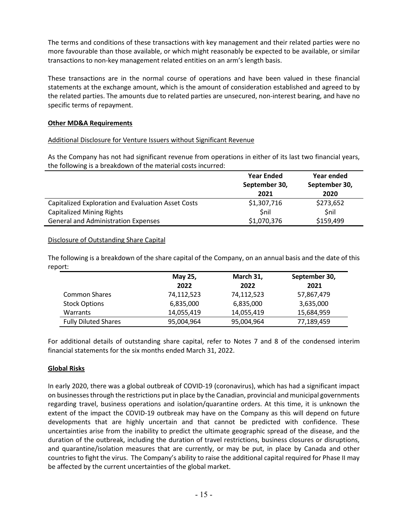The terms and conditions of these transactions with key management and their related parties were no more favourable than those available, or which might reasonably be expected to be available, or similar transactions to non-key management related entities on an arm's length basis.

These transactions are in the normal course of operations and have been valued in these financial statements at the exchange amount, which is the amount of consideration established and agreed to by the related parties. The amounts due to related parties are unsecured, non-interest bearing, and have no specific terms of repayment.

# **Other MD&A Requirements**

# Additional Disclosure for Venture Issuers without Significant Revenue

As the Company has not had significant revenue from operations in either of its last two financial years, the following is a breakdown of the material costs incurred:

|                                                    | <b>Year Ended</b> | Year ended    |
|----------------------------------------------------|-------------------|---------------|
|                                                    | September 30,     | September 30, |
|                                                    | 2021              | 2020          |
| Capitalized Exploration and Evaluation Asset Costs | \$1,307,716       | \$273,652     |
| <b>Capitalized Mining Rights</b>                   | Snil              | <b>Snil</b>   |
| <b>General and Administration Expenses</b>         | \$1,070,376       | \$159,499     |

## Disclosure of Outstanding Share Capital

The following is a breakdown of the share capital of the Company, on an annual basis and the date of this report:

|                             | May 25,<br>2022 | March 31,<br>2022 | September 30,<br>2021 |
|-----------------------------|-----------------|-------------------|-----------------------|
| <b>Common Shares</b>        | 74,112,523      | 74,112,523        | 57,867,479            |
| <b>Stock Options</b>        | 6,835,000       | 6,835,000         | 3,635,000             |
| <b>Warrants</b>             | 14,055,419      | 14,055,419        | 15,684,959            |
| <b>Fully Diluted Shares</b> | 95,004,964      | 95,004,964        | 77,189,459            |

For additional details of outstanding share capital, refer to Notes 7 and 8 of the condensed interim financial statements for the six months ended March 31, 2022.

## **Global Risks**

In early 2020, there was a global outbreak of COVID-19 (coronavirus), which has had a significant impact on businesses through the restrictions put in place by the Canadian, provincial and municipal governments regarding travel, business operations and isolation/quarantine orders. At this time, it is unknown the extent of the impact the COVID-19 outbreak may have on the Company as this will depend on future developments that are highly uncertain and that cannot be predicted with confidence. These uncertainties arise from the inability to predict the ultimate geographic spread of the disease, and the duration of the outbreak, including the duration of travel restrictions, business closures or disruptions, and quarantine/isolation measures that are currently, or may be put, in place by Canada and other countries to fight the virus. The Company's ability to raise the additional capital required for Phase II may be affected by the current uncertainties of the global market.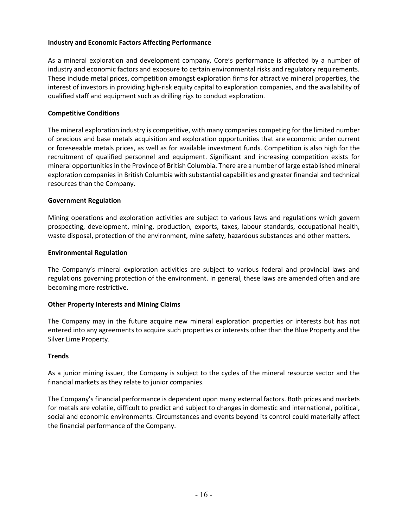# **Industry and Economic Factors Affecting Performance**

As a mineral exploration and development company, Core's performance is affected by a number of industry and economic factors and exposure to certain environmental risks and regulatory requirements. These include metal prices, competition amongst exploration firms for attractive mineral properties, the interest of investors in providing high-risk equity capital to exploration companies, and the availability of qualified staff and equipment such as drilling rigs to conduct exploration.

#### **Competitive Conditions**

The mineral exploration industry is competitive, with many companies competing for the limited number of precious and base metals acquisition and exploration opportunities that are economic under current or foreseeable metals prices, as well as for available investment funds. Competition is also high for the recruitment of qualified personnel and equipment. Significant and increasing competition exists for mineral opportunities in the Province of British Columbia. There are a number of large established mineral exploration companies in British Columbia with substantial capabilities and greater financial and technical resources than the Company.

#### **Government Regulation**

Mining operations and exploration activities are subject to various laws and regulations which govern prospecting, development, mining, production, exports, taxes, labour standards, occupational health, waste disposal, protection of the environment, mine safety, hazardous substances and other matters.

#### **Environmental Regulation**

The Company's mineral exploration activities are subject to various federal and provincial laws and regulations governing protection of the environment. In general, these laws are amended often and are becoming more restrictive.

## **Other Property Interests and Mining Claims**

The Company may in the future acquire new mineral exploration properties or interests but has not entered into any agreements to acquire such properties or interests other than the Blue Property and the Silver Lime Property.

#### **Trends**

As a junior mining issuer, the Company is subject to the cycles of the mineral resource sector and the financial markets as they relate to junior companies.

The Company's financial performance is dependent upon many external factors. Both prices and markets for metals are volatile, difficult to predict and subject to changes in domestic and international, political, social and economic environments. Circumstances and events beyond its control could materially affect the financial performance of the Company.